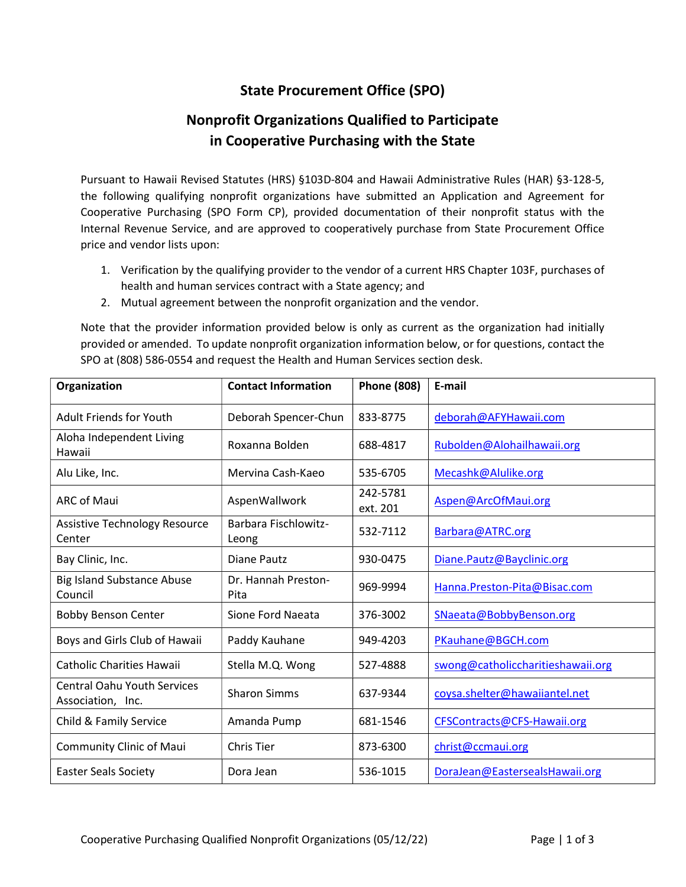## State Procurement Office (SPO)

## Nonprofit Organizations Qualified to Participate in Cooperative Purchasing with the State

Pursuant to Hawaii Revised Statutes (HRS) §103D-804 and Hawaii Administrative Rules (HAR) §3-128-5, the following qualifying nonprofit organizations have submitted an Application and Agreement for Cooperative Purchasing (SPO Form CP), provided documentation of their nonprofit status with the Internal Revenue Service, and are approved to cooperatively purchase from State Procurement Office price and vendor lists upon:

- 1. Verification by the qualifying provider to the vendor of a current HRS Chapter 103F, purchases of health and human services contract with a State agency; and
- 2. Mutual agreement between the nonprofit organization and the vendor.

Note that the provider information provided below is only as current as the organization had initially provided or amended. To update nonprofit organization information below, or for questions, contact the SPO at (808) 586-0554 and request the Health and Human Services section desk.

| Organization                                            | <b>Contact Information</b>           | <b>Phone (808)</b>   | E-mail                            |
|---------------------------------------------------------|--------------------------------------|----------------------|-----------------------------------|
| <b>Adult Friends for Youth</b>                          | Deborah Spencer-Chun                 | 833-8775             | deborah@AFYHawaii.com             |
| Aloha Independent Living<br>Hawaii                      | Roxanna Bolden                       | 688-4817             | Rubolden@Alohailhawaii.org        |
| Alu Like, Inc.                                          | Mervina Cash-Kaeo                    | 535-6705             | Mecashk@Alulike.org               |
| <b>ARC of Maui</b>                                      | AspenWallwork                        | 242-5781<br>ext. 201 | Aspen@ArcOfMaui.org               |
| <b>Assistive Technology Resource</b><br>Center          | <b>Barbara Fischlowitz-</b><br>Leong | 532-7112             | Barbara@ATRC.org                  |
| Bay Clinic, Inc.                                        | <b>Diane Pautz</b>                   | 930-0475             | Diane.Pautz@Bayclinic.org         |
| <b>Big Island Substance Abuse</b><br>Council            | Dr. Hannah Preston-<br>Pita          | 969-9994             | Hanna.Preston-Pita@Bisac.com      |
| <b>Bobby Benson Center</b>                              | Sione Ford Naeata                    | 376-3002             | SNaeata@BobbyBenson.org           |
| Boys and Girls Club of Hawaii                           | Paddy Kauhane                        | 949-4203             | PKauhane@BGCH.com                 |
| <b>Catholic Charities Hawaii</b>                        | Stella M.Q. Wong                     | 527-4888             | swong@catholiccharitieshawaii.org |
| <b>Central Oahu Youth Services</b><br>Association, Inc. | <b>Sharon Simms</b>                  | 637-9344             | coysa.shelter@hawaiiantel.net     |
| Child & Family Service                                  | Amanda Pump                          | 681-1546             | CFSContracts@CFS-Hawaii.org       |
| <b>Community Clinic of Maui</b>                         | Chris Tier                           | 873-6300             | christ@ccmaui.org                 |
| <b>Easter Seals Society</b>                             | Dora Jean                            | 536-1015             | DoraJean@EastersealsHawaii.org    |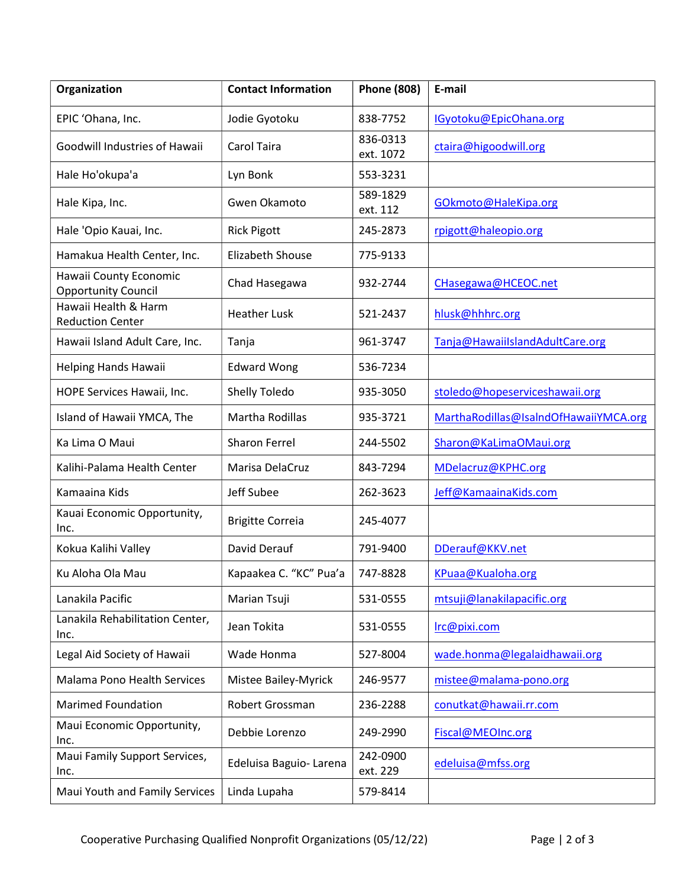| Organization                                         | <b>Contact Information</b> | <b>Phone (808)</b>    | E-mail                                |
|------------------------------------------------------|----------------------------|-----------------------|---------------------------------------|
| EPIC 'Ohana, Inc.                                    | Jodie Gyotoku              | 838-7752              | IGyotoku@EpicOhana.org                |
| Goodwill Industries of Hawaii                        | Carol Taira                | 836-0313<br>ext. 1072 | ctaira@higoodwill.org                 |
| Hale Ho'okupa'a                                      | Lyn Bonk                   | 553-3231              |                                       |
| Hale Kipa, Inc.                                      | Gwen Okamoto               | 589-1829<br>ext. 112  | GOkmoto@HaleKipa.org                  |
| Hale 'Opio Kauai, Inc.                               | <b>Rick Pigott</b>         | 245-2873              | rpigott@haleopio.org                  |
| Hamakua Health Center, Inc.                          | Elizabeth Shouse           | 775-9133              |                                       |
| Hawaii County Economic<br><b>Opportunity Council</b> | Chad Hasegawa              | 932-2744              | CHasegawa@HCEOC.net                   |
| Hawaii Health & Harm<br><b>Reduction Center</b>      | <b>Heather Lusk</b>        | 521-2437              | hlusk@hhhrc.org                       |
| Hawaii Island Adult Care, Inc.                       | Tanja                      | 961-3747              | Tanja@HawaiiIslandAdultCare.org       |
| Helping Hands Hawaii                                 | <b>Edward Wong</b>         | 536-7234              |                                       |
| HOPE Services Hawaii, Inc.                           | Shelly Toledo              | 935-3050              | stoledo@hopeserviceshawaii.org        |
| Island of Hawaii YMCA, The                           | Martha Rodillas            | 935-3721              | MarthaRodillas@IsaIndOfHawaiiYMCA.org |
| Ka Lima O Maui                                       | <b>Sharon Ferrel</b>       | 244-5502              | Sharon@KaLimaOMaui.org                |
| Kalihi-Palama Health Center                          | Marisa DelaCruz            | 843-7294              | MDelacruz@KPHC.org                    |
| Kamaaina Kids                                        | Jeff Subee                 | 262-3623              | Jeff@KamaainaKids.com                 |
| Kauai Economic Opportunity,<br>Inc.                  | <b>Brigitte Correia</b>    | 245-4077              |                                       |
| Kokua Kalihi Valley                                  | David Derauf               | 791-9400              | DDerauf@KKV.net                       |
| Ku Aloha Ola Mau                                     | Kapaakea C. "KC" Pua'a     | 747-8828              | KPuaa@Kualoha.org                     |
| Lanakila Pacific                                     | Marian Tsuji               | 531-0555              | mtsuji@lanakilapacific.org            |
| Lanakila Rehabilitation Center,<br>Inc.              | Jean Tokita                | 531-0555              | Irc@pixi.com                          |
| Legal Aid Society of Hawaii                          | Wade Honma                 | 527-8004              | wade.honma@legalaidhawaii.org         |
| Malama Pono Health Services                          | Mistee Bailey-Myrick       | 246-9577              | mistee@malama-pono.org                |
| <b>Marimed Foundation</b>                            | Robert Grossman            | 236-2288              | conutkat@hawaii.rr.com                |
| Maui Economic Opportunity,<br>Inc.                   | Debbie Lorenzo             | 249-2990              | Fiscal@MEOInc.org                     |
| Maui Family Support Services,<br>Inc.                | Edeluisa Baguio-Larena     | 242-0900<br>ext. 229  | edeluisa@mfss.org                     |
| Maui Youth and Family Services                       | Linda Lupaha               | 579-8414              |                                       |